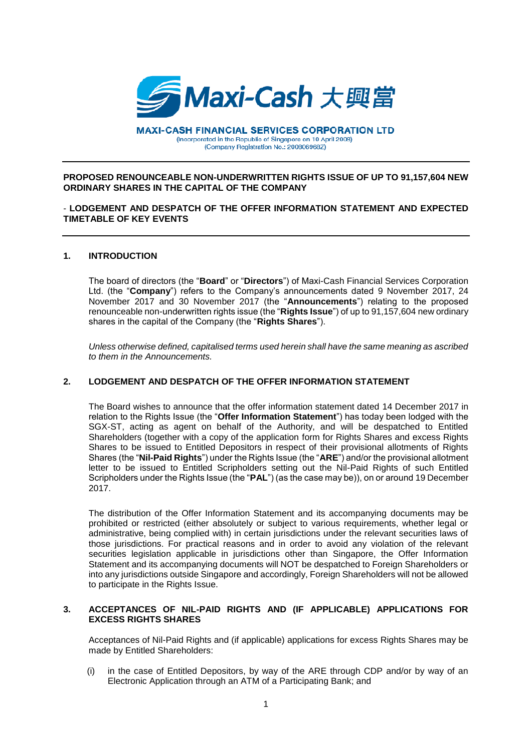

**MAXI-CASH FINANCIAL SERVICES CORPORATION LTD** (Incorporated in the Republic of Singapore on 10 April 2008) (Company Registration No.: 200806968Z)

## **PROPOSED RENOUNCEABLE NON-UNDERWRITTEN RIGHTS ISSUE OF UP TO 91,157,604 NEW ORDINARY SHARES IN THE CAPITAL OF THE COMPANY**

# - **LODGEMENT AND DESPATCH OF THE OFFER INFORMATION STATEMENT AND EXPECTED TIMETABLE OF KEY EVENTS**

#### **1. INTRODUCTION**

The board of directors (the "**Board**" or "**Directors**") of Maxi-Cash Financial Services Corporation Ltd. (the "**Company**") refers to the Company's announcements dated 9 November 2017, 24 November 2017 and 30 November 2017 (the "**Announcements**") relating to the proposed renounceable non-underwritten rights issue (the "**Rights Issue**") of up to 91,157,604 new ordinary shares in the capital of the Company (the "**Rights Shares**").

*Unless otherwise defined, capitalised terms used herein shall have the same meaning as ascribed to them in the Announcements.*

# **2. LODGEMENT AND DESPATCH OF THE OFFER INFORMATION STATEMENT**

The Board wishes to announce that the offer information statement dated 14 December 2017 in relation to the Rights Issue (the "**Offer Information Statement**") has today been lodged with the SGX-ST, acting as agent on behalf of the Authority, and will be despatched to Entitled Shareholders (together with a copy of the application form for Rights Shares and excess Rights Shares to be issued to Entitled Depositors in respect of their provisional allotments of Rights Shares (the "**Nil-Paid Rights**") under the Rights Issue (the "**ARE**") and/or the provisional allotment letter to be issued to Entitled Scripholders setting out the Nil-Paid Rights of such Entitled Scripholders under the Rights Issue (the "**PAL**") (as the case may be)), on or around 19 December 2017.

The distribution of the Offer Information Statement and its accompanying documents may be prohibited or restricted (either absolutely or subject to various requirements, whether legal or administrative, being complied with) in certain jurisdictions under the relevant securities laws of those jurisdictions. For practical reasons and in order to avoid any violation of the relevant securities legislation applicable in jurisdictions other than Singapore, the Offer Information Statement and its accompanying documents will NOT be despatched to Foreign Shareholders or into any jurisdictions outside Singapore and accordingly, Foreign Shareholders will not be allowed to participate in the Rights Issue.

## **3. ACCEPTANCES OF NIL-PAID RIGHTS AND (IF APPLICABLE) APPLICATIONS FOR EXCESS RIGHTS SHARES**

Acceptances of Nil-Paid Rights and (if applicable) applications for excess Rights Shares may be made by Entitled Shareholders:

(i) in the case of Entitled Depositors, by way of the ARE through CDP and/or by way of an Electronic Application through an ATM of a Participating Bank; and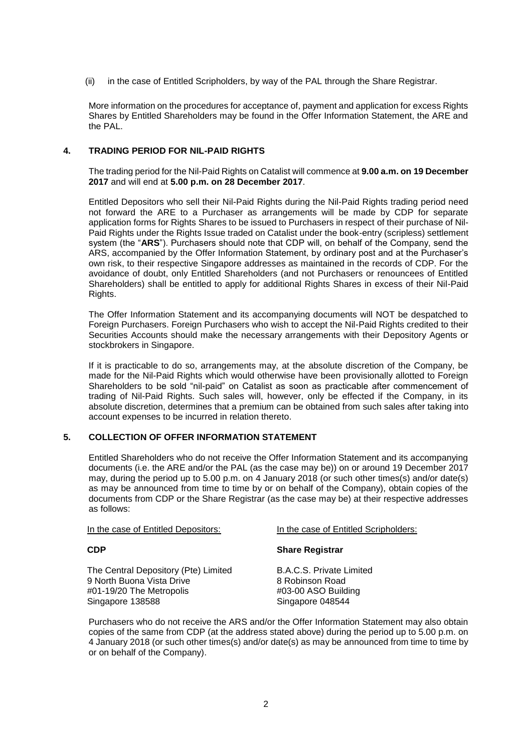(ii) in the case of Entitled Scripholders, by way of the PAL through the Share Registrar.

More information on the procedures for acceptance of, payment and application for excess Rights Shares by Entitled Shareholders may be found in the Offer Information Statement, the ARE and the PAL.

# **4. TRADING PERIOD FOR NIL-PAID RIGHTS**

The trading period for the Nil-Paid Rights on Catalist will commence at **9.00 a.m. on 19 December 2017** and will end at **5.00 p.m. on 28 December 2017**.

Entitled Depositors who sell their Nil-Paid Rights during the Nil-Paid Rights trading period need not forward the ARE to a Purchaser as arrangements will be made by CDP for separate application forms for Rights Shares to be issued to Purchasers in respect of their purchase of Nil-Paid Rights under the Rights Issue traded on Catalist under the book-entry (scripless) settlement system (the "**ARS**"). Purchasers should note that CDP will, on behalf of the Company, send the ARS, accompanied by the Offer Information Statement, by ordinary post and at the Purchaser's own risk, to their respective Singapore addresses as maintained in the records of CDP. For the avoidance of doubt, only Entitled Shareholders (and not Purchasers or renouncees of Entitled Shareholders) shall be entitled to apply for additional Rights Shares in excess of their Nil-Paid Rights.

The Offer Information Statement and its accompanying documents will NOT be despatched to Foreign Purchasers. Foreign Purchasers who wish to accept the Nil-Paid Rights credited to their Securities Accounts should make the necessary arrangements with their Depository Agents or stockbrokers in Singapore.

If it is practicable to do so, arrangements may, at the absolute discretion of the Company, be made for the Nil-Paid Rights which would otherwise have been provisionally allotted to Foreign Shareholders to be sold "nil-paid" on Catalist as soon as practicable after commencement of trading of Nil-Paid Rights. Such sales will, however, only be effected if the Company, in its absolute discretion, determines that a premium can be obtained from such sales after taking into account expenses to be incurred in relation thereto.

## **5. COLLECTION OF OFFER INFORMATION STATEMENT**

Entitled Shareholders who do not receive the Offer Information Statement and its accompanying documents (i.e. the ARE and/or the PAL (as the case may be)) on or around 19 December 2017 may, during the period up to 5.00 p.m. on 4 January 2018 (or such other times(s) and/or date(s) as may be announced from time to time by or on behalf of the Company), obtain copies of the documents from CDP or the Share Registrar (as the case may be) at their respective addresses as follows:

#### **CDP**

The Central Depository (Pte) Limited 9 North Buona Vista Drive #01-19/20 The Metropolis Singapore 138588

In the case of Entitled Depositors: In the case of Entitled Scripholders:

## **Share Registrar**

B.A.C.S. Private Limited 8 Robinson Road #03-00 ASO Building Singapore 048544

Purchasers who do not receive the ARS and/or the Offer Information Statement may also obtain copies of the same from CDP (at the address stated above) during the period up to 5.00 p.m. on 4 January 2018 (or such other times(s) and/or date(s) as may be announced from time to time by or on behalf of the Company).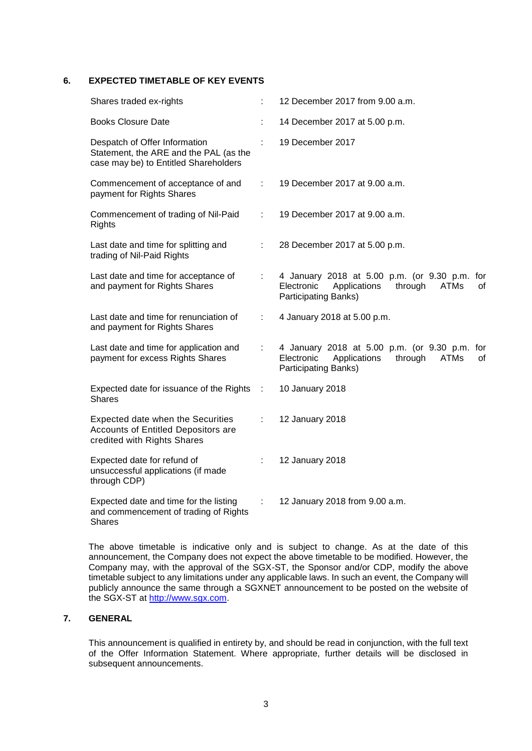# **6. EXPECTED TIMETABLE OF KEY EVENTS**

| Shares traded ex-rights                                                                                          |    | 12 December 2017 from 9.00 a.m.                                                                                                     |
|------------------------------------------------------------------------------------------------------------------|----|-------------------------------------------------------------------------------------------------------------------------------------|
| <b>Books Closure Date</b>                                                                                        |    | 14 December 2017 at 5.00 p.m.                                                                                                       |
| Despatch of Offer Information<br>Statement, the ARE and the PAL (as the<br>case may be) to Entitled Shareholders |    | 19 December 2017                                                                                                                    |
| Commencement of acceptance of and<br>payment for Rights Shares                                                   | t. | 19 December 2017 at 9.00 a.m.                                                                                                       |
| Commencement of trading of Nil-Paid<br><b>Rights</b>                                                             | ÷  | 19 December 2017 at 9.00 a.m.                                                                                                       |
| Last date and time for splitting and<br>trading of Nil-Paid Rights                                               | ÷  | 28 December 2017 at 5.00 p.m.                                                                                                       |
| Last date and time for acceptance of<br>and payment for Rights Shares                                            | ÷  | 4 January 2018 at 5.00 p.m. (or 9.30 p.m. for<br>Applications<br>through<br>Electronic<br><b>ATMs</b><br>οf<br>Participating Banks) |
| Last date and time for renunciation of<br>and payment for Rights Shares                                          | ÷  | 4 January 2018 at 5.00 p.m.                                                                                                         |
| Last date and time for application and<br>payment for excess Rights Shares                                       | ÷  | 4 January 2018 at 5.00 p.m. (or 9.30 p.m. for<br>Applications<br>through<br>Electronic<br><b>ATMs</b><br>οf<br>Participating Banks) |
| Expected date for issuance of the Rights<br><b>Shares</b>                                                        | ÷  | 10 January 2018                                                                                                                     |
| Expected date when the Securities<br>Accounts of Entitled Depositors are<br>credited with Rights Shares          | ÷  | 12 January 2018                                                                                                                     |
| Expected date for refund of<br>unsuccessful applications (if made<br>through CDP)                                |    | 12 January 2018                                                                                                                     |
| Expected date and time for the listing<br>and commencement of trading of Rights<br><b>Shares</b>                 | ÷  | 12 January 2018 from 9.00 a.m.                                                                                                      |

The above timetable is indicative only and is subject to change. As at the date of this announcement, the Company does not expect the above timetable to be modified. However, the Company may, with the approval of the SGX-ST, the Sponsor and/or CDP, modify the above timetable subject to any limitations under any applicable laws. In such an event, the Company will publicly announce the same through a SGXNET announcement to be posted on the website of the SGX-ST at [http://www.sgx.com.](http://www.sgx.com/)

# **7. GENERAL**

This announcement is qualified in entirety by, and should be read in conjunction, with the full text of the Offer Information Statement. Where appropriate, further details will be disclosed in subsequent announcements.